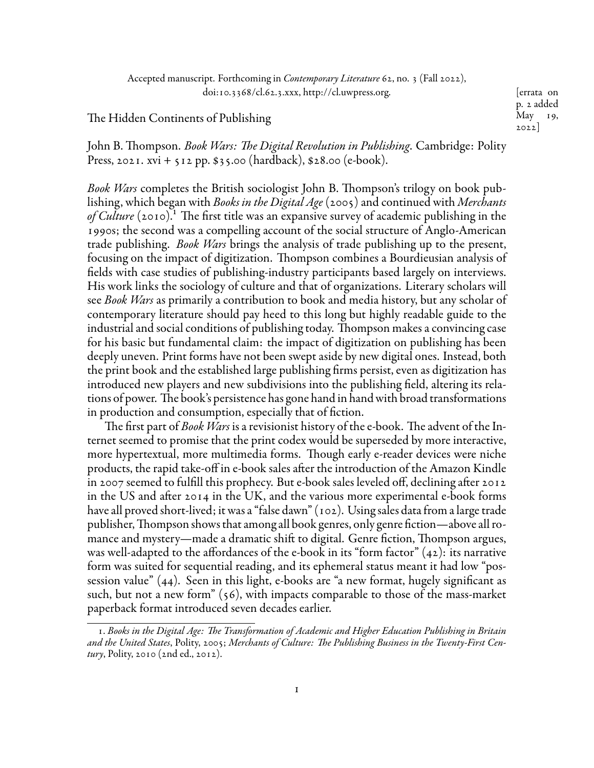Accepted manuscript. Forthcoming in *Contemporary Literature* 62, no. 3 (Fall 2022), doi:10.3368/cl.62.3.xxx, [http://cl.uwpress.org.](http://cl.uwpress.org) [errata on

The Hidden Continents of Publishing

p. 2 added May 19, 2022]

John B. Thompson. *Book Wars: The Digital Revolution in Publishing*. Cambridge: Polity Press, 2021. xvi + 512 pp.  $$35.00$  (hardback),  $$28.00$  (e-book).

*Book Wars* completes the British sociologist John B. Thompson's trilogy on book publishing, which began with *Books in the Digital Age* (2005) and continued with *Merchants* of Culture (2010).<sup>1</sup> The first title was an expansive survey of academic publishing in the 1990s; the second was a compelling account of the social structure of Anglo-American trade publishing. *Book Wars* brings the analysis of trade publishing up to the present, focusing on the impact of digitization. Thompson combines a Bourdieusian analysis of fields with case studies of publishing-industry participants based largely on interviews. His work links the sociology of culture and that of organizations. Literary scholars will see *Book Wars* as primarily a contribution to book and media history, but any scholar of contemporary literature should pay heed to this long but highly readable guide to the industrial and social conditions of publishing today. Thompson makes a convincing case for his basic but fundamental claim: the impact of digitization on publishing has been deeply uneven. Print forms have not been swept aside by new digital ones. Instead, both the print book and the established large publishing firms persist, even as digitization has introduced new players and new subdivisions into the publishing field, altering its relations of power. The book's persistence has gone hand in hand with broad transformations in production and consumption, especially that of fiction.

The first part of *Book Wars* is a revisionist history of the e-book. The advent of the Internet seemed to promise that the print codex would be superseded by more interactive, more hypertextual, more multimedia forms. Though early e-reader devices were niche products, the rapid take-off in e-book sales after the introduction of the Amazon Kindle in 2007 seemed to fulfill this prophecy. But e-book sales leveled off, declining after 2012 in the US and after 2014 in the UK, and the various more experimental e-book forms have all proved short-lived; it was a "false dawn" (102). Using sales data from a large trade publisher,Thompson shows that among all book genres, only genre fiction—above all romance and mystery—made a dramatic shift to digital. Genre fiction, Thompson argues, was well-adapted to the affordances of the e-book in its "form factor" (42): its narrative form was suited for sequential reading, and its ephemeral status meant it had low "possession value" (44). Seen in this light, e-books are "a new format, hugely significant as such, but not a new form" (56), with impacts comparable to those of the mass-market paperback format introduced seven decades earlier.

<span id="page-0-0"></span><sup>1.</sup> *Books in the Digital Age: The Transformation of Academic and Higher Education Publishing in Britain and the United States*, Polity, 2005; *Merchants of Culture: The Publishing Business in the Twenty-First Century*, Polity, 2010 (2nd ed., 2012).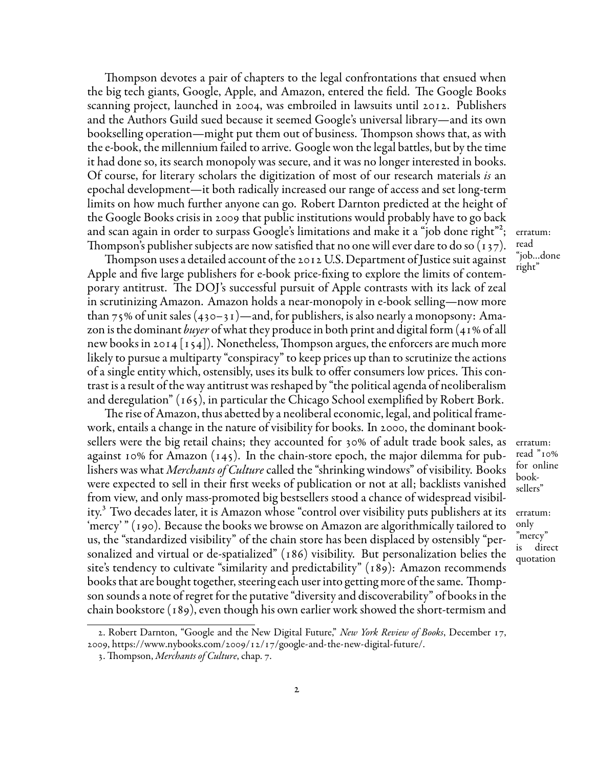Thompson devotes a pair of chapters to the legal confrontations that ensued when the big tech giants, Google, Apple, and Amazon, entered the field. The Google Books scanning project, launched in 2004, was embroiled in lawsuits until 2012. Publishers and the Authors Guild sued because it seemed Google's universal library—and its own bookselling operation—might put them out of business. Thompson shows that, as with the e-book, the millennium failed to arrive. Google won the legal battles, but by the time it had done so, its search monopoly was secure, and it was no longer interested in books. Of course, for literary scholars the digitization of most of our research materials *is* an epochal development—it both radically increased our range of access and set long-term limits on how much further anyone can go. Robert Darnton predicted at the height of the Google Books crisis in 2009 that public institutions would probably have to go back and scan again in order to surpass Google's limitations and make it a "job done right"<sup>[2](#page-1-0)</sup>; Thompson's publisher subjects are now satisfied that no one will ever dare to do so (137).

Thompson uses a detailed account of the 2012 U.S. Department of Justice suit against Apple and five large publishers for e-book price-fixing to explore the limits of contemporary antitrust. The DOJ's successful pursuit of Apple contrasts with its lack of zeal in scrutinizing Amazon. Amazon holds a near-monopoly in e-book selling—now more than 75% of unit sales  $(430-31)$ —and, for publishers, is also nearly a monopsony: Amazon is the dominant *buyer* of what they produce in both print and digital form (41% of all new books in 2014  $\vert$ 154). Nonetheless, Thompson argues, the enforcers are much more likely to pursue a multiparty "conspiracy" to keep prices up than to scrutinize the actions of a single entity which, ostensibly, uses its bulk to offer consumers low prices. This contrast is a result of the way antitrust was reshaped by "the political agenda of neoliberalism and deregulation" (165), in particular the Chicago School exemplified by Robert Bork.

The rise of Amazon, thus abetted by a neoliberal economic, legal, and political framework, entails a change in the nature of visibility for books. In 2000, the dominant booksellers were the big retail chains; they accounted for 30% of adult trade book sales, as erratum: against 10% for Amazon (145). In the chain-store epoch, the major dilemma for publishers was what *Merchants of Culture* called the "shrinking windows" of visibility. Books were expected to sell in their first weeks of publication or not at all; backlists vanished from view, and only mass-promoted big bestsellers stood a chance of widespread visibility[.3](#page-1-1) Two decades later, it is Amazon whose "control over visibility puts publishers at its erratum: 'mercy' " (190). Because the books we browse on Amazon are algorithmically tailored to us, the "standardized visibility" of the chain store has been displaced by ostensibly "personalized and virtual or de-spatialized" (186) visibility. But personalization belies the site's tendency to cultivate "similarity and predictability" (189): Amazon recommends books that are bought together, steering each user into getting more of the same. Thompson sounds a note of regret for the putative "diversity and discoverability" of books in the chain bookstore (189), even though his own earlier work showed the short-termism and

; erratum: read "job…done right"

read "10% for online booksellers"

only "mercy" is direct quotation

<span id="page-1-0"></span><sup>2.</sup> Robert Darnton, "Google and the New Digital Future," *New York Review of Books*, December 17, 2009, [https://www.nybooks.com/2009/12/17/google-and-the-new-digital-future/.](https://www.nybooks.com/2009/12/17/google-and-the-new-digital-future/)

<span id="page-1-1"></span><sup>3.</sup> Thompson, *Merchants of Culture*, chap. 7.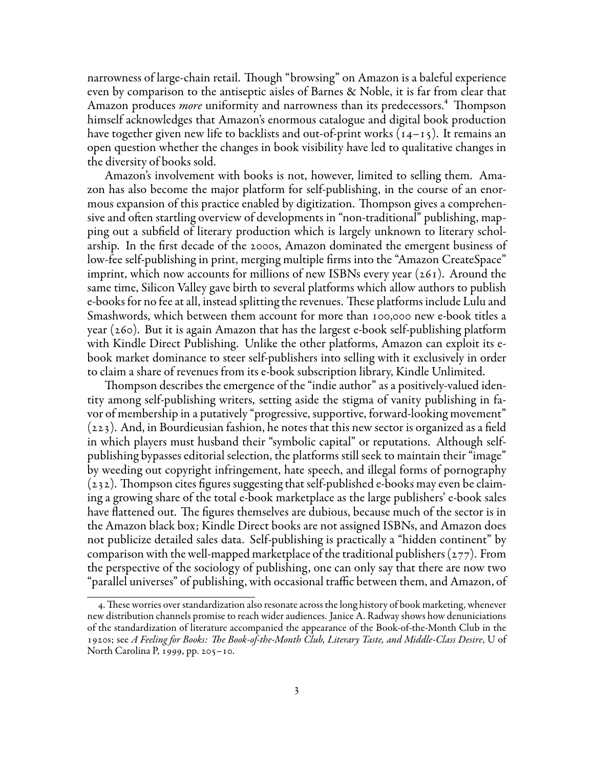narrowness of large-chain retail. Though "browsing" on Amazon is a baleful experience even by comparison to the antiseptic aisles of Barnes & Noble, it is far from clear that Amazon produces *more* uniformity and narrowness than its predecessors.<sup>4</sup> Thompson himself acknowledges that Amazon's enormous catalogue and digital book production have together given new life to backlists and out-of-print works (14–15). It remains an open question whether the changes in book visibility have led to qualitative changes in the diversity of books sold.

Amazon's involvement with books is not, however, limited to selling them. Amazon has also become the major platform for self-publishing, in the course of an enormous expansion of this practice enabled by digitization. Thompson gives a comprehensive and often startling overview of developments in "non-traditional" publishing, mapping out a subfield of literary production which is largely unknown to literary scholarship. In the first decade of the 2000s, Amazon dominated the emergent business of low-fee self-publishing in print, merging multiple firms into the "Amazon CreateSpace" imprint, which now accounts for millions of new ISBNs every year (261). Around the same time, Silicon Valley gave birth to several platforms which allow authors to publish e-books for no fee at all, instead splitting the revenues. These platforms include Lulu and Smashwords, which between them account for more than 100,000 new e-book titles a year (260). But it is again Amazon that has the largest e-book self-publishing platform with Kindle Direct Publishing. Unlike the other platforms, Amazon can exploit its ebook market dominance to steer self-publishers into selling with it exclusively in order to claim a share of revenues from its e-book subscription library, Kindle Unlimited.

Thompson describes the emergence of the "indie author" as a positively-valued identity among self-publishing writers, setting aside the stigma of vanity publishing in favor of membership in a putatively "progressive, supportive, forward-looking movement" (223). And, in Bourdieusian fashion, he notes that this new sector is organized as a field in which players must husband their "symbolic capital" or reputations. Although selfpublishing bypasses editorial selection, the platforms still seek to maintain their "image" by weeding out copyright infringement, hate speech, and illegal forms of pornography (232). Thompson cites figures suggesting that self-published e-books may even be claiming a growing share of the total e-book marketplace as the large publishers' e-book sales have flattened out. The figures themselves are dubious, because much of the sector is in the Amazon black box; Kindle Direct books are not assigned ISBNs, and Amazon does not publicize detailed sales data. Self-publishing is practically a "hidden continent" by comparison with the well-mapped marketplace of the traditional publishers ( $277$ ). From the perspective of the sociology of publishing, one can only say that there are now two "parallel universes" of publishing, with occasional traffic between them, and Amazon, of

<span id="page-2-0"></span><sup>4.</sup>These worries over standardization also resonate across the long history of book marketing, whenever new distribution channels promise to reach wider audiences. Janice A. Radway shows how denuniciations of the standardization of literature accompanied the appearance of the Book-of-the-Month Club in the 1920s; see *A Feeling for Books: The Book-of-the-Month Club, Literary Taste, and Middle-Class Desire*, U of North Carolina P, 1999, pp. 205–10.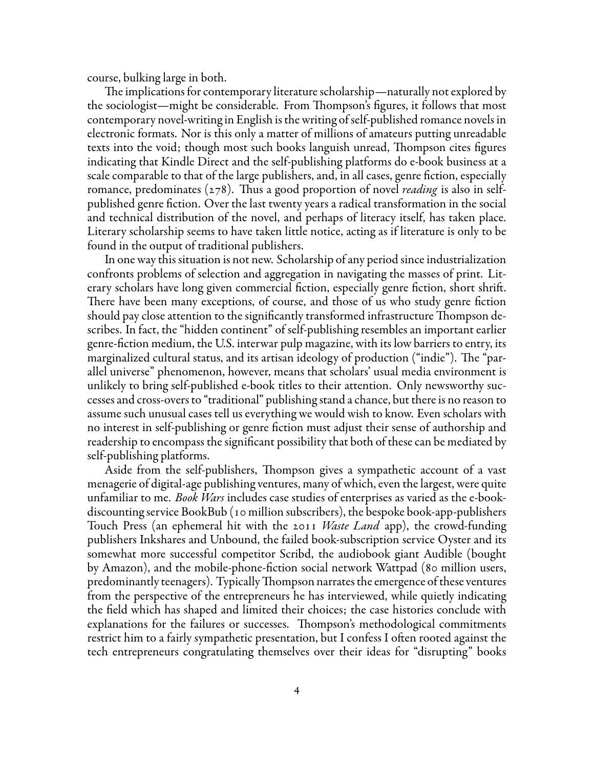course, bulking large in both.

The implications for contemporary literature scholarship—naturally not explored by the sociologist—might be considerable. From Thompson's figures, it follows that most contemporary novel-writing in English is the writing of self-published romance novels in electronic formats. Nor is this only a matter of millions of amateurs putting unreadable texts into the void; though most such books languish unread, Thompson cites figures indicating that Kindle Direct and the self-publishing platforms do e-book business at a scale comparable to that of the large publishers, and, in all cases, genre fiction, especially romance, predominates (278). Thus a good proportion of novel *reading* is also in selfpublished genre fiction. Over the last twenty years a radical transformation in the social and technical distribution of the novel, and perhaps of literacy itself, has taken place. Literary scholarship seems to have taken little notice, acting as if literature is only to be found in the output of traditional publishers.

In one way this situation is not new. Scholarship of any period since industrialization confronts problems of selection and aggregation in navigating the masses of print. Literary scholars have long given commercial fiction, especially genre fiction, short shrift. There have been many exceptions, of course, and those of us who study genre fiction should pay close attention to the significantly transformed infrastructure Thompson describes. In fact, the "hidden continent" of self-publishing resembles an important earlier genre-fiction medium, the U.S. interwar pulp magazine, with its low barriers to entry, its marginalized cultural status, and its artisan ideology of production ("indie"). The "parallel universe" phenomenon, however, means that scholars' usual media environment is unlikely to bring self-published e-book titles to their attention. Only newsworthy successes and cross-overs to "traditional" publishing stand a chance, but there is no reason to assume such unusual cases tell us everything we would wish to know. Even scholars with no interest in self-publishing or genre fiction must adjust their sense of authorship and readership to encompass the significant possibility that both of these can be mediated by self-publishing platforms.

Aside from the self-publishers, Thompson gives a sympathetic account of a vast menagerie of digital-age publishing ventures, many of which, even the largest, were quite unfamiliar to me. *Book Wars* includes case studies of enterprises as varied as the e-bookdiscounting service BookBub (10 million subscribers), the bespoke book-app-publishers Touch Press (an ephemeral hit with the 2011 *Waste Land* app), the crowd-funding publishers Inkshares and Unbound, the failed book-subscription service Oyster and its somewhat more successful competitor Scribd, the audiobook giant Audible (bought by Amazon), and the mobile-phone-fiction social network Wattpad (80 million users, predominantly teenagers). TypicallyThompson narrates the emergence of these ventures from the perspective of the entrepreneurs he has interviewed, while quietly indicating the field which has shaped and limited their choices; the case histories conclude with explanations for the failures or successes. Thompson's methodological commitments restrict him to a fairly sympathetic presentation, but I confess I often rooted against the tech entrepreneurs congratulating themselves over their ideas for "disrupting" books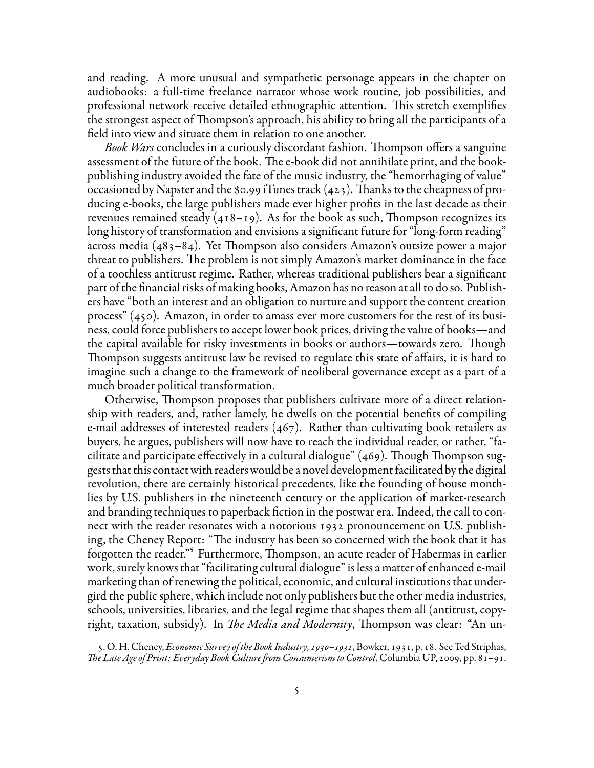and reading. A more unusual and sympathetic personage appears in the chapter on audiobooks: a full-time freelance narrator whose work routine, job possibilities, and professional network receive detailed ethnographic attention. This stretch exemplifies the strongest aspect of Thompson's approach, his ability to bring all the participants of a field into view and situate them in relation to one another.

*Book Wars* concludes in a curiously discordant fashion. Thompson offers a sanguine assessment of the future of the book. The e-book did not annihilate print, and the bookpublishing industry avoided the fate of the music industry, the "hemorrhaging of value" occasioned by Napster and the \$0.99 iTunes track (423). Thanks to the cheapness of producing e-books, the large publishers made ever higher profits in the last decade as their revenues remained steady (418–19). As for the book as such, Thompson recognizes its long history of transformation and envisions a significant future for "long-form reading" across media (483–84). Yet Thompson also considers Amazon's outsize power a major threat to publishers. The problem is not simply Amazon's market dominance in the face of a toothless antitrust regime. Rather, whereas traditional publishers bear a significant part of the financial risks of making books, Amazon has no reason at all to do so. Publishers have "both an interest and an obligation to nurture and support the content creation process" (450). Amazon, in order to amass ever more customers for the rest of its business, could force publishers to accept lower book prices, driving the value of books—and the capital available for risky investments in books or authors—towards zero. Though Thompson suggests antitrust law be revised to regulate this state of affairs, it is hard to imagine such a change to the framework of neoliberal governance except as a part of a much broader political transformation.

Otherwise, Thompson proposes that publishers cultivate more of a direct relationship with readers, and, rather lamely, he dwells on the potential benefits of compiling e-mail addresses of interested readers (467). Rather than cultivating book retailers as buyers, he argues, publishers will now have to reach the individual reader, or rather, "facilitate and participate effectively in a cultural dialogue" (469). Though Thompson suggests that this contact with readers would be a novel development facilitated by the digital revolution, there are certainly historical precedents, like the founding of house monthlies by U.S. publishers in the nineteenth century or the application of market-research and branding techniques to paperback fiction in the postwar era. Indeed, the call to connect with the reader resonates with a notorious 1932 pronouncement on U.S. publishing, the Cheney Report: "The industry has been so concerned with the book that it has forgotten the reader."<sup>5</sup> Furthermore, Thompson, an acute reader of Habermas in earlier work, surely knows that "facilitating cultural dialogue" is less a matter of enhanced e-mail marketing than of renewing the political, economic, and cultural institutions that undergird the public sphere, which include not only publishers but the other media industries, schools, universities, libraries, and the legal regime that shapes them all (antitrust, copyright, taxation, subsidy). In *The Media and Modernity*, Thompson was clear: "An un-

<span id="page-4-0"></span><sup>5.</sup>O. H. Cheney, *Economic Survey ofthe Book Industry, 1930–1931*, Bowker, 1931, p. 18. See Ted Striphas, *The Late Age of Print: Everyday Book Culture from Consumerism to Control*, Columbia UP, 2009, pp. 81–91.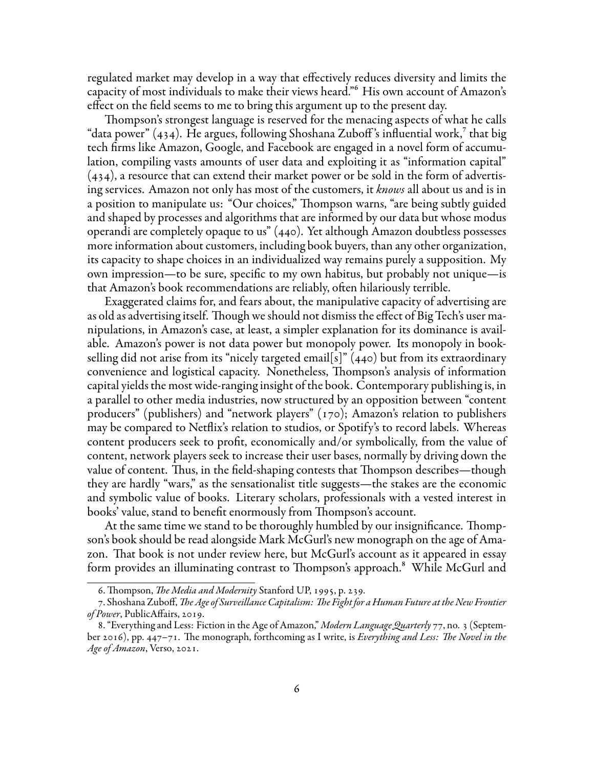regulated market may develop in a way that effectively reduces diversity and limits the capacity of most individuals to make their views heard."<sup>6</sup> His own account of Amazon's effect on the field seems to me to bring this argument up to the present day.

Thompson's strongest language is reserved for the menacing aspects of what he calls "data power"  $(434)$ . He argues, following Shoshana Zuboff's influential work, $\frac{1}{2}$  that big tech firms like Amazon, Google, and Facebook are engaged in a novel form of accumulation, compiling vasts amounts of user data and exploiting it as "information capital" (434), a resource that can extend their market power or be sold in the form of advertising services. Amazon not only has most of the customers, it *knows* all about us and is in a position to manipulate us: "Our choices," Thompson warns, "are being subtly guided and shaped by processes and algorithms that are informed by our data but whose modus operandi are completely opaque to us" (440). Yet although Amazon doubtless possesses more information about customers, including book buyers, than any other organization, its capacity to shape choices in an individualized way remains purely a supposition. My own impression—to be sure, specific to my own habitus, but probably not unique—is that Amazon's book recommendations are reliably, often hilariously terrible.

Exaggerated claims for, and fears about, the manipulative capacity of advertising are as old as advertising itself. Though we should not dismiss the effect of Big Tech's user manipulations, in Amazon's case, at least, a simpler explanation for its dominance is available. Amazon's power is not data power but monopoly power. Its monopoly in bookselling did not arise from its "nicely targeted email[s]" (440) but from its extraordinary convenience and logistical capacity. Nonetheless, Thompson's analysis of information capital yields the most wide-ranging insight of the book. Contemporary publishing is, in a parallel to other media industries, now structured by an opposition between "content producers" (publishers) and "network players" (170); Amazon's relation to publishers may be compared to Netflix's relation to studios, or Spotify's to record labels. Whereas content producers seek to profit, economically and/or symbolically, from the value of content, network players seek to increase their user bases, normally by driving down the value of content. Thus, in the field-shaping contests that Thompson describes—though they are hardly "wars," as the sensationalist title suggests—the stakes are the economic and symbolic value of books. Literary scholars, professionals with a vested interest in books' value, stand to benefit enormously from Thompson's account.

At the same time we stand to be thoroughly humbled by our insignificance. Thompson's book should be read alongside Mark McGurl's new monograph on the age of Amazon. That book is not under review here, but McGurl's account as it appeared in essay form provides an illuminating contrast to Thompson's approach.<sup>8</sup> While McGurl and

<span id="page-5-1"></span><span id="page-5-0"></span><sup>6.</sup> Thompson, *The Media and Modernity* Stanford UP, 1995, p. 239.

<sup>7.</sup> Shoshana Zuboff, *The Age of Surveillance Capitalism: The Fight for a Human Future at the New Frontier of Power*, PublicAffairs, 2019.

<span id="page-5-2"></span><sup>8.&</sup>quot;Everything and Less: Fiction in the Age of Amazon," *Modern Language Quarterly* 77, no. 3 (September 2016), pp. 447–71. The monograph, forthcoming as I write, is *Everything and Less: The Novel in the Age of Amazon*, Verso, 2021.